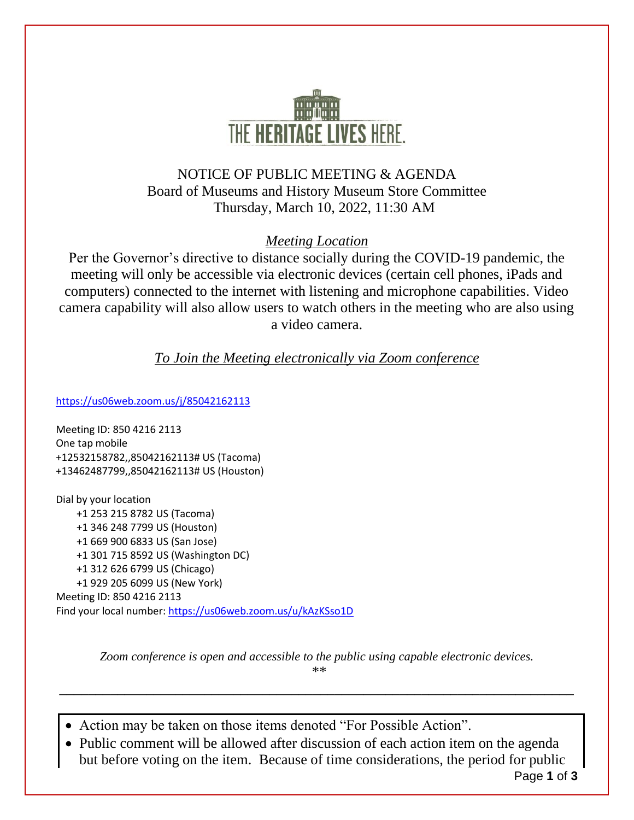

## NOTICE OF PUBLIC MEETING & AGENDA Board of Museums and History Museum Store Committee Thursday, March 10, 2022, 11:30 AM

### *Meeting Location*

Per the Governor's directive to distance socially during the COVID-19 pandemic, the meeting will only be accessible via electronic devices (certain cell phones, iPads and computers) connected to the internet with listening and microphone capabilities. Video camera capability will also allow users to watch others in the meeting who are also using a video camera.

### *To Join the Meeting electronically via Zoom conference*

<https://us06web.zoom.us/j/85042162113>

Meeting ID: 850 4216 2113 One tap mobile +12532158782,,85042162113# US (Tacoma) +13462487799,,85042162113# US (Houston)

Dial by your location +1 253 215 8782 US (Tacoma) +1 346 248 7799 US (Houston) +1 669 900 6833 US (San Jose) +1 301 715 8592 US (Washington DC) +1 312 626 6799 US (Chicago) +1 929 205 6099 US (New York) Meeting ID: 850 4216 2113 Find your local number[: https://us06web.zoom.us/u/kAzKSso1D](https://us06web.zoom.us/u/kAzKSso1D)

> *Zoom conference is open and accessible to the public using capable electronic devices. \*\**

\_\_\_\_\_\_\_\_\_\_\_\_\_\_\_\_\_\_\_\_\_\_\_\_\_\_\_\_\_\_\_\_\_\_\_\_\_\_\_\_\_\_\_\_\_\_\_\_\_\_\_\_\_\_\_\_\_\_\_\_\_\_\_\_\_\_\_\_\_\_\_

• Action may be taken on those items denoted "For Possible Action".

• Public comment will be allowed after discussion of each action item on the agenda but before voting on the item. Because of time considerations, the period for public

Page **1** of **3**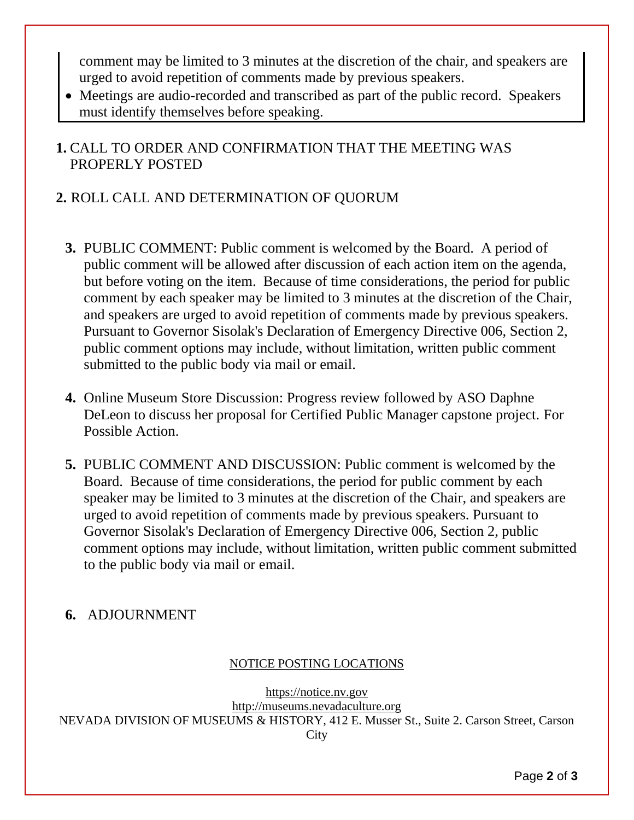comment may be limited to 3 minutes at the discretion of the chair, and speakers are urged to avoid repetition of comments made by previous speakers.

• Meetings are audio-recorded and transcribed as part of the public record. Speakers must identify themselves before speaking.

## **1.** CALL TO ORDER AND CONFIRMATION THAT THE MEETING WAS PROPERLY POSTED

## **2.** ROLL CALL AND DETERMINATION OF QUORUM

- **3.** PUBLIC COMMENT: Public comment is welcomed by the Board. A period of public comment will be allowed after discussion of each action item on the agenda, but before voting on the item. Because of time considerations, the period for public comment by each speaker may be limited to 3 minutes at the discretion of the Chair, and speakers are urged to avoid repetition of comments made by previous speakers. Pursuant to Governor Sisolak's Declaration of Emergency Directive 006, Section 2, public comment options may include, without limitation, written public comment submitted to the public body via mail or email.
- **4.** Online Museum Store Discussion: Progress review followed by ASO Daphne DeLeon to discuss her proposal for Certified Public Manager capstone project. For Possible Action.
- **5.** PUBLIC COMMENT AND DISCUSSION: Public comment is welcomed by the Board. Because of time considerations, the period for public comment by each speaker may be limited to 3 minutes at the discretion of the Chair, and speakers are urged to avoid repetition of comments made by previous speakers. Pursuant to Governor Sisolak's Declaration of Emergency Directive 006, Section 2, public comment options may include, without limitation, written public comment submitted to the public body via mail or email.

# **6.** ADJOURNMENT

#### NOTICE POSTING LOCATIONS

[https://notice.nv.gov](http://notice.nv.gov/) [http://museums.nevadaculture.org](http://museums.nevadaculture.org/) NEVADA DIVISION OF MUSEUMS & HISTORY, 412 E. Musser St., Suite 2. Carson Street, Carson City